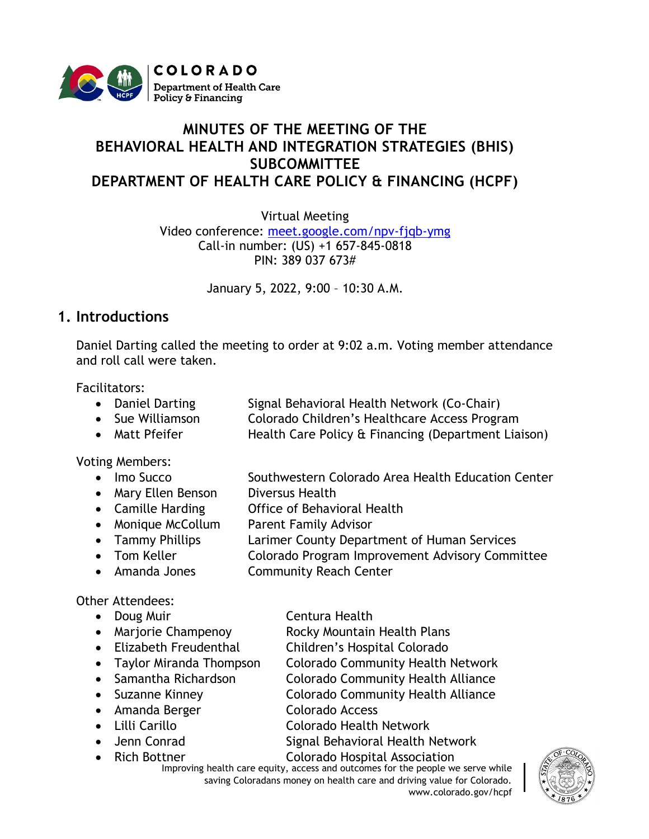

## **MINUTES OF THE MEETING OF THE BEHAVIORAL HEALTH AND INTEGRATION STRATEGIES (BHIS) SUBCOMMITTEE DEPARTMENT OF HEALTH CARE POLICY & FINANCING (HCPF)**

Virtual Meeting

Video conference: [meet.google.com/npv-fjqb-ymg](https://cohcpf.sharepoint.com/sites/HPO/HPSS/ProgramMgmt/Stakeholder%20Engagement/Behavioral%20Health%20and%20Integration%20Strategies/Meetings/October%202021/meet.google.com/npv-fjqb-ymg) Call-in number: (US) +1 657-845-0818 PIN: 389 037 673#

January 5, 2022, 9:00 – 10:30 A.M.

## **1. Introductions**

Daniel Darting called the meeting to order at 9:02 a.m. Voting member attendance and roll call were taken.

Facilitators:

- Daniel Darting Signal Behavioral Health Network (Co-Chair)
- Sue Williamson Colorado Children's Healthcare Access Program
- Matt Pfeifer Health Care Policy & Financing (Department Liaison)

Voting Members:

- Imo Succo Southwestern Colorado Area Health Education Center
- Mary Ellen Benson Diversus Health
- Camille Harding **Office of Behavioral Health**
- Monique McCollum Parent Family Advisor
- Tammy Phillips Larimer County Department of Human Services
- Tom Keller **Colorado Program Improvement Advisory Committee**
- Amanda Jones Community Reach Center

## Other Attendees:

- Doug Muir **Centura Health**
- 
- 
- 
- 
- 
- 
- 
- 
- 
- Marjorie Champenoy Rocky Mountain Health Plans
- Elizabeth Freudenthal Children's Hospital Colorado
- Taylor Miranda Thompson Colorado Community Health Network
- Samantha Richardson Colorado Community Health Alliance
- Suzanne Kinney **Colorado Community Health Alliance**
- Amanda Berger Colorado Access
- Lilli Carillo Colorado Health Network
- Jenn Conrad Signal Behavioral Health Network
- Improving health care equity, access and outcomes for the people we serve while saving Coloradans money on health care and driving value for Colorado. www.colorado.gov/hcpf • Rich Bottner Colorado Hospital Association

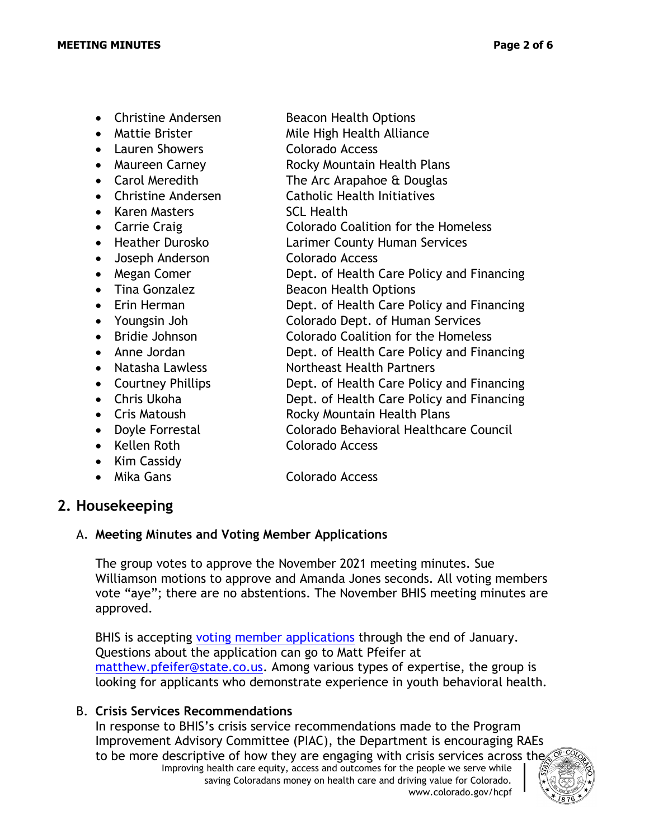• Christine Andersen Beacon Health Options • Mattie Brister Mile High Health Alliance • Lauren Showers Colorado Access • Maureen Carney **Rocky Mountain Health Plans** • Carol Meredith The Arc Arapahoe & Douglas • Christine Andersen Catholic Health Initiatives • Karen Masters SCL Health • Carrie Craig Colorado Coalition for the Homeless • Heather Durosko Larimer County Human Services • Joseph Anderson Colorado Access • Megan Comer **Dept. of Health Care Policy and Financing** • Tina Gonzalez Beacon Health Options • Erin Herman **Dept. of Health Care Policy and Financing** • Youngsin Joh Colorado Dept. of Human Services • Bridie Johnson Colorado Coalition for the Homeless • Anne Jordan **Dept. of Health Care Policy and Financing** • Natasha Lawless Northeast Health Partners • Courtney Phillips **Dept.** of Health Care Policy and Financing • Chris Ukoha **Dept. of Health Care Policy and Financing** • Cris Matoush Rocky Mountain Health Plans • Doyle Forrestal Colorado Behavioral Healthcare Council • Kellen Roth Colorado Access • Kim Cassidy • Mika Gans Colorado Access

# **2. Housekeeping**

#### A. **Meeting Minutes and Voting Member Applications**

The group votes to approve the November 2021 meeting minutes. Sue Williamson motions to approve and Amanda Jones seconds. All voting members vote "aye"; there are no abstentions. The November BHIS meeting minutes are approved.

BHIS is accepting [voting member applications](https://docs.google.com/forms/d/e/1FAIpQLSf_Vli4tbXwRB40CbK6RvopPq2ab3ThM2MBKpdX5TjIrXlw1A/viewform) through the end of January. Questions about the application can go to Matt Pfeifer at [matthew.pfeifer@state.co.us.](mailto:matthew.pfeifer@state.co.us) Among various types of expertise, the group is looking for applicants who demonstrate experience in youth behavioral health.

### B. **Crisis Services Recommendations**

Improving health care equity, access and outcomes for the people we serve while saving Coloradans money on health care and driving value for Colorado. www.colorado.gov/hcpf In response to BHIS's crisis service recommendations made to the Program Improvement Advisory Committee (PIAC), the Department is encouraging RAEs to be more descriptive of how they are engaging with crisis services across the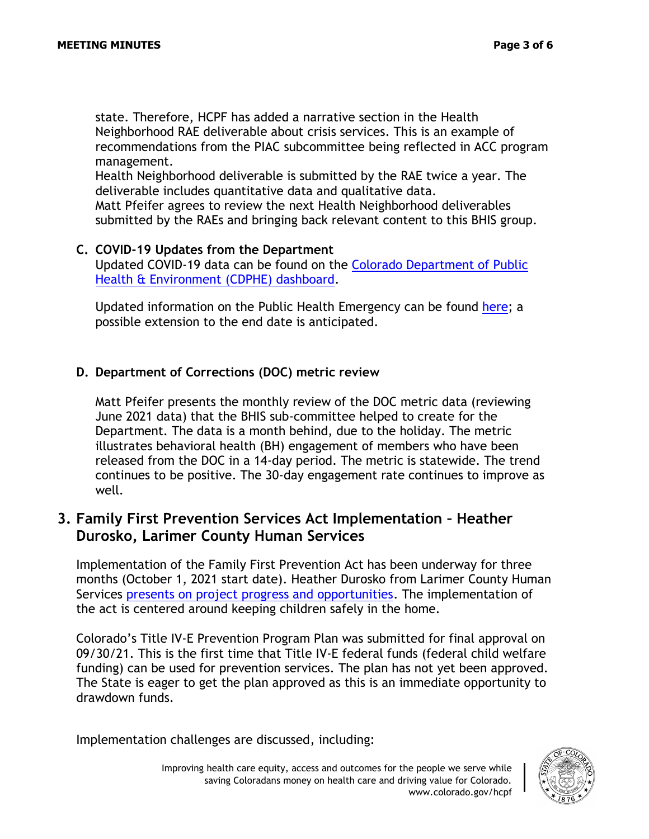state. Therefore, HCPF has added a narrative section in the Health Neighborhood RAE deliverable about crisis services. This is an example of recommendations from the PIAC subcommittee being reflected in ACC program management.

Health Neighborhood deliverable is submitted by the RAE twice a year. The deliverable includes quantitative data and qualitative data.

Matt Pfeifer agrees to review the next Health Neighborhood deliverables submitted by the RAEs and bringing back relevant content to this BHIS group.

### **C. COVID-19 Updates from the Department**

Updated COVID-19 data can be found on the [Colorado Department of Public](https://covid19.colorado.gov/data)  [Health & Environment](https://covid19.colorado.gov/data) (CDPHE) dashboard.

Updated information on the Public Health Emergency can be found [here;](https://www.phe.gov/emergency/news/healthactions/phe/Pages/default.aspx) a possible extension to the end date is anticipated.

### **D. Department of Corrections (DOC) metric review**

Matt Pfeifer presents the monthly review of the DOC metric data (reviewing June 2021 data) that the BHIS sub-committee helped to create for the Department. The data is a month behind, due to the holiday. The metric illustrates behavioral health (BH) engagement of members who have been released from the DOC in a 14-day period. The metric is statewide. The trend continues to be positive. The 30-day engagement rate continues to improve as well.

## **3. Family First Prevention Services Act Implementation – Heather Durosko, Larimer County Human Services**

Implementation of the Family First Prevention Act has been underway for three months (October 1, 2021 start date). Heather Durosko from Larimer County Human Services [presents on project progress and opportunities.](https://hcpf.colorado.gov/sites/hcpf/files/Behavioral%20Health%20and%20Integration%20Strategies%20PIAC%20Subcommittee%20Family%20First%20Update%20Presentation%20January%202022.pdf) The implementation of the act is centered around keeping children safely in the home.

Colorado's Title IV-E Prevention Program Plan was submitted for final approval on 09/30/21. This is the first time that Title IV-E federal funds (federal child welfare funding) can be used for prevention services. The plan has not yet been approved. The State is eager to get the plan approved as this is an immediate opportunity to drawdown funds.

Implementation challenges are discussed, including: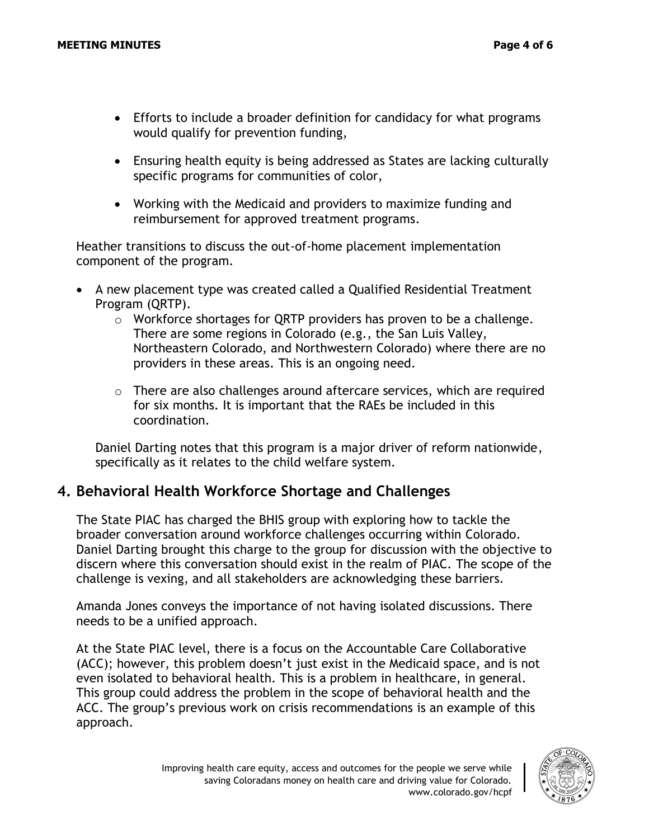- Efforts to include a broader definition for candidacy for what programs would qualify for prevention funding,
- Ensuring health equity is being addressed as States are lacking culturally specific programs for communities of color,
- Working with the Medicaid and providers to maximize funding and reimbursement for approved treatment programs.

Heather transitions to discuss the out-of-home placement implementation component of the program.

- A new placement type was created called a Qualified Residential Treatment Program (QRTP).
	- o Workforce shortages for QRTP providers has proven to be a challenge. There are some regions in Colorado (e.g., the San Luis Valley, Northeastern Colorado, and Northwestern Colorado) where there are no providers in these areas. This is an ongoing need.
	- $\circ$  There are also challenges around aftercare services, which are required for six months. It is important that the RAEs be included in this coordination.

Daniel Darting notes that this program is a major driver of reform nationwide, specifically as it relates to the child welfare system.

## **4. Behavioral Health Workforce Shortage and Challenges**

The State PIAC has charged the BHIS group with exploring how to tackle the broader conversation around workforce challenges occurring within Colorado. Daniel Darting brought this charge to the group for discussion with the objective to discern where this conversation should exist in the realm of PIAC. The scope of the challenge is vexing, and all stakeholders are acknowledging these barriers.

Amanda Jones conveys the importance of not having isolated discussions. There needs to be a unified approach.

At the State PIAC level, there is a focus on the Accountable Care Collaborative (ACC); however, this problem doesn't just exist in the Medicaid space, and is not even isolated to behavioral health. This is a problem in healthcare, in general. This group could address the problem in the scope of behavioral health and the ACC. The group's previous work on crisis recommendations is an example of this approach.

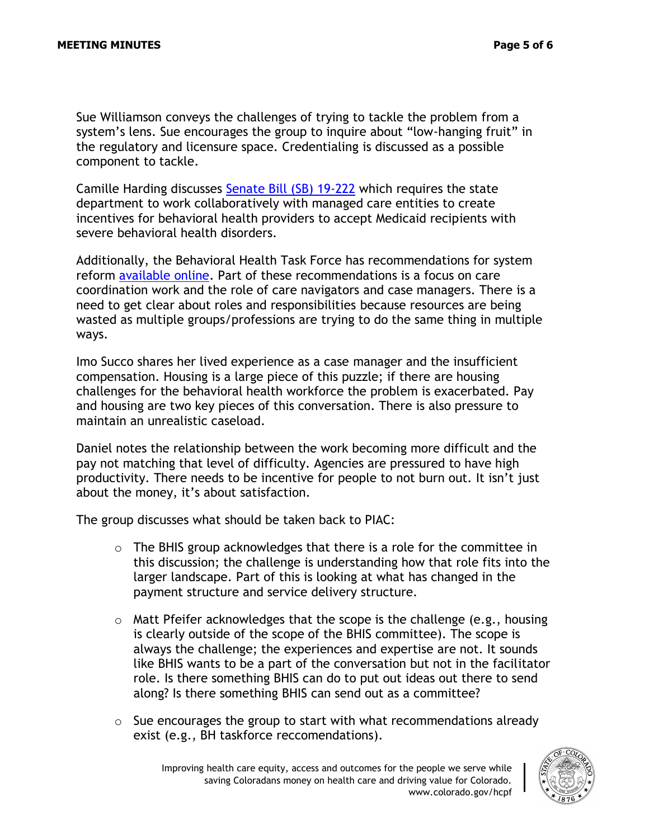Sue Williamson conveys the challenges of trying to tackle the problem from a system's lens. Sue encourages the group to inquire about "low-hanging fruit" in the regulatory and licensure space. Credentialing is discussed as a possible component to tackle.

Camille Harding discusses [Senate Bill \(SB\) 19-222](https://leg.colorado.gov/bills/sb19-222) which requires the state department to work collaboratively with managed care entities to create incentives for behavioral health providers to accept Medicaid recipients with severe behavioral health disorders.

Additionally, the Behavioral Health Task Force has recommendations for system reform [available online.](https://cdhs.colorado.gov/behavioral-health-reform) Part of these recommendations is a focus on care coordination work and the role of care navigators and case managers. There is a need to get clear about roles and responsibilities because resources are being wasted as multiple groups/professions are trying to do the same thing in multiple ways.

Imo Succo shares her lived experience as a case manager and the insufficient compensation. Housing is a large piece of this puzzle; if there are housing challenges for the behavioral health workforce the problem is exacerbated. Pay and housing are two key pieces of this conversation. There is also pressure to maintain an unrealistic caseload.

Daniel notes the relationship between the work becoming more difficult and the pay not matching that level of difficulty. Agencies are pressured to have high productivity. There needs to be incentive for people to not burn out. It isn't just about the money, it's about satisfaction.

The group discusses what should be taken back to PIAC:

- o The BHIS group acknowledges that there is a role for the committee in this discussion; the challenge is understanding how that role fits into the larger landscape. Part of this is looking at what has changed in the payment structure and service delivery structure.
- $\circ$  Matt Pfeifer acknowledges that the scope is the challenge (e.g., housing is clearly outside of the scope of the BHIS committee). The scope is always the challenge; the experiences and expertise are not. It sounds like BHIS wants to be a part of the conversation but not in the facilitator role. Is there something BHIS can do to put out ideas out there to send along? Is there something BHIS can send out as a committee?
- $\circ$  Sue encourages the group to start with what recommendations already exist (e.g., BH taskforce reccomendations).